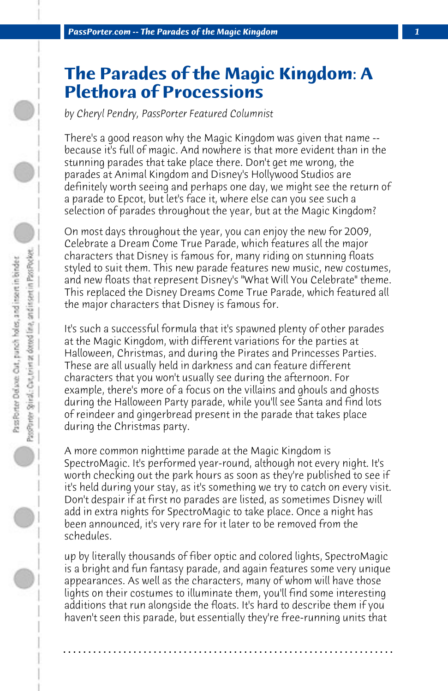## **The Parades of the Magic Kingdom: A Plethora of Processions**

*by Cheryl Pendry, PassPorter Featured Columnist*

There's a good reason why the Magic Kingdom was given that name - because it's full of magic. And nowhere is that more evident than in the stunning parades that take place there. Don't get me wrong, the parades at Animal Kingdom and Disney's Hollywood Studios are definitely worth seeing and perhaps one day, we might see the return of a parade to Epcot, but let's face it, where else can you see such a selection of parades throughout the year, but at the Magic Kingdom?

On most days throughout the year, you can enjoy the new for 2009, Celebrate a Dream Come True Parade, which features all the major characters that Disney is famous for, many riding on stunning floats styled to suit them. This new parade features new music, new costumes, and new floats that represent Disney's "What Will You Celebrate" theme. This replaced the Disney Dreams Come True Parade, which featured all the major characters that Disney is famous for.

It's such a successful formula that it's spawned plenty of other parades at the Magic Kingdom, with different variations for the parties at Halloween, Christmas, and during the Pirates and Princesses Parties. These are all usually held in darkness and can feature different characters that you won't usually see during the afternoon. For example, there's more of a focus on the villains and ghouls and ghosts during the Halloween Party parade, while you'll see Santa and find lots of reindeer and gingerbread present in the parade that takes place during the Christmas party.

A more common nighttime parade at the Magic Kingdom is SpectroMagic. It's performed year-round, although not every night. It's worth checking out the park hours as soon as they're published to see if it's held during your stay, as it's something we try to catch on every visit. Don't despair if at first no parades are listed, as sometimes Disney will add in extra nights for SpectroMagic to take place. Once a night has been announced, it's very rare for it later to be removed from the schedules.

up by literally thousands of fiber optic and colored lights, SpectroMagic is a bright and fun fantasy parade, and again features some very unique appearances. As well as the characters, many of whom will have those lights on their costumes to illuminate them, you'll find some interesting additions that run alongside the floats. It's hard to describe them if you haven't seen this parade, but essentially they're free-running units that

**. . . . . . . . . . . . . . . . . . . . . . . . . . . . . . . . . . . . . . . . . . . . . . . . . . . . . . . . . . . . . . . . . .**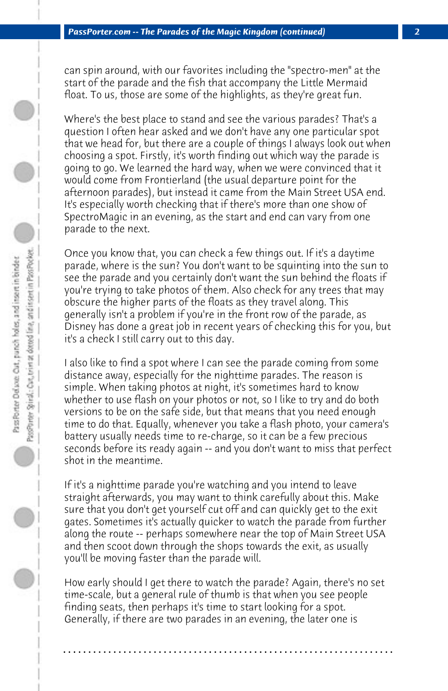can spin around, with our favorites including the "spectro-men" at the start of the parade and the fish that accompany the Little Mermaid float. To us, those are some of the highlights, as they're great fun.

Where's the best place to stand and see the various parades? That's a question I often hear asked and we don't have any one particular spot that we head for, but there are a couple of things I always look out when choosing a spot. Firstly, it's worth finding out which way the parade is going to go. We learned the hard way, when we were convinced that it would come from Frontierland (the usual departure point for the afternoon parades), but instead it came from the Main Street USA end. It's especially worth checking that if there's more than one show of SpectroMagic in an evening, as the start and end can vary from one parade to the next.

Once you know that, you can check a few things out. If it's a daytime parade, where is the sun? You don't want to be squinting into the sun to see the parade and you certainly don't want the sun behind the floats if you're trying to take photos of them. Also check for any trees that may obscure the higher parts of the floats as they travel along. This generally isn't a problem if you're in the front row of the parade, as Disney has done a great job in recent years of checking this for you, but it's a check I still carry out to this day.

I also like to find a spot where I can see the parade coming from some distance away, especially for the nighttime parades. The reason is simple. When taking photos at night, it's sometimes hard to know whether to use flash on your photos or not, so I like to try and do both versions to be on the safe side, but that means that you need enough time to do that. Equally, whenever you take a flash photo, your camera's battery usually needs time to re-charge, so it can be a few precious seconds before its ready again -- and you don't want to miss that perfect shot in the meantime.

If it's a nighttime parade you're watching and you intend to leave straight afterwards, you may want to think carefully about this. Make sure that you don't get yourself cut off and can quickly get to the exit gates. Sometimes it's actually quicker to watch the parade from further along the route -- perhaps somewhere near the top of Main Street USA and then scoot down through the shops towards the exit, as usually you'll be moving faster than the parade will.

How early should I get there to watch the parade? Again, there's no set time-scale, but a general rule of thumb is that when you see people finding seats, then perhaps it's time to start looking for a spot. Generally, if there are two parades in an evening, the later one is

**. . . . . . . . . . . . . . . . . . . . . . . . . . . . . . . . . . . . . . . . . . . . . . . . . . . . . . . . . . . . . . . . . .**